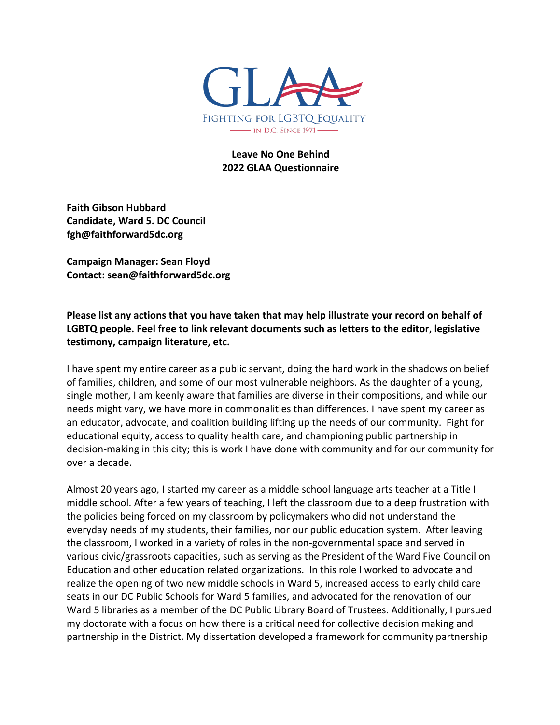

### **Leave No One Behind 2022 GLAA Questionnaire**

**Faith Gibson Hubbard Candidate, Ward 5. DC Council fgh@faithforward5dc.org**

**Campaign Manager: Sean Floyd Contact: sean@faithforward5dc.org**

**Please list any actions that you have taken that may help illustrate your record on behalf of LGBTQ people. Feel free to link relevant documents such as letters to the editor, legislative testimony, campaign literature, etc.**

I have spent my entire career as a public servant, doing the hard work in the shadows on belief of families, children, and some of our most vulnerable neighbors. As the daughter of a young, single mother, I am keenly aware that families are diverse in their compositions, and while our needs might vary, we have more in commonalities than differences. I have spent my career as an educator, advocate, and coalition building lifting up the needs of our community. Fight for educational equity, access to quality health care, and championing public partnership in decision-making in this city; this is work I have done with community and for our community for over a decade.

Almost 20 years ago, I started my career as a middle school language arts teacher at a Title I middle school. After a few years of teaching, I left the classroom due to a deep frustration with the policies being forced on my classroom by policymakers who did not understand the everyday needs of my students, their families, nor our public education system. After leaving the classroom, I worked in a variety of roles in the non-governmental space and served in various civic/grassroots capacities, such as serving as the President of the Ward Five Council on Education and other education related organizations. In this role I worked to advocate and realize the opening of two new middle schools in Ward 5, increased access to early child care seats in our DC Public Schools for Ward 5 families, and advocated for the renovation of our Ward 5 libraries as a member of the DC Public Library Board of Trustees. Additionally, I pursued my doctorate with a focus on how there is a critical need for collective decision making and partnership in the District. My dissertation developed a framework for community partnership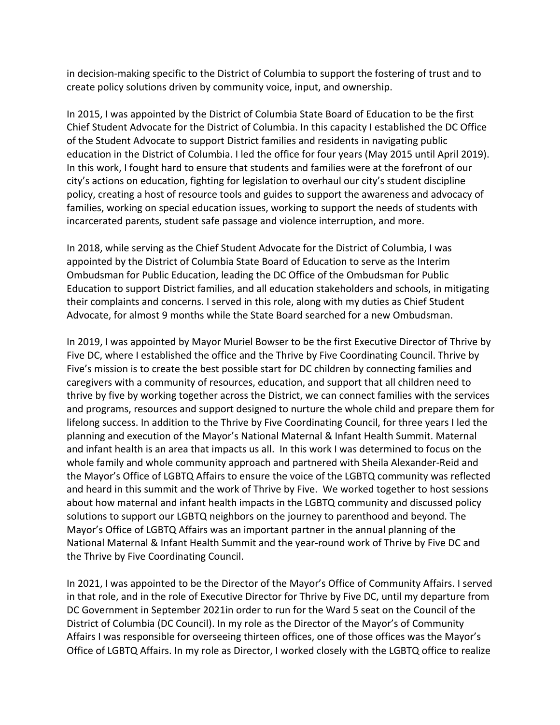in decision-making specific to the District of Columbia to support the fostering of trust and to create policy solutions driven by community voice, input, and ownership.

In 2015, I was appointed by the District of Columbia State Board of Education to be the first Chief Student Advocate for the District of Columbia. In this capacity I established the DC Office of the Student Advocate to support District families and residents in navigating public education in the District of Columbia. I led the office for four years (May 2015 until April 2019). In this work, I fought hard to ensure that students and families were at the forefront of our city's actions on education, fighting for legislation to overhaul our city's student discipline policy, creating a host of resource tools and guides to support the awareness and advocacy of families, working on special education issues, working to support the needs of students with incarcerated parents, student safe passage and violence interruption, and more.

In 2018, while serving as the Chief Student Advocate for the District of Columbia, I was appointed by the District of Columbia State Board of Education to serve as the Interim Ombudsman for Public Education, leading the DC Office of the Ombudsman for Public Education to support District families, and all education stakeholders and schools, in mitigating their complaints and concerns. I served in this role, along with my duties as Chief Student Advocate, for almost 9 months while the State Board searched for a new Ombudsman.

In 2019, I was appointed by Mayor Muriel Bowser to be the first Executive Director of Thrive by Five DC, where I established the office and the Thrive by Five Coordinating Council. Thrive by Five's mission is to create the best possible start for DC children by connecting families and caregivers with a community of resources, education, and support that all children need to thrive by five by working together across the District, we can connect families with the services and programs, resources and support designed to nurture the whole child and prepare them for lifelong success. In addition to the Thrive by Five Coordinating Council, for three years I led the planning and execution of the Mayor's National Maternal & Infant Health Summit. Maternal and infant health is an area that impacts us all. In this work I was determined to focus on the whole family and whole community approach and partnered with Sheila Alexander-Reid and the Mayor's Office of LGBTQ Affairs to ensure the voice of the LGBTQ community was reflected and heard in this summit and the work of Thrive by Five. We worked together to host sessions about how maternal and infant health impacts in the LGBTQ community and discussed policy solutions to support our LGBTQ neighbors on the journey to parenthood and beyond. The Mayor's Office of LGBTQ Affairs was an important partner in the annual planning of the National Maternal & Infant Health Summit and the year-round work of Thrive by Five DC and the Thrive by Five Coordinating Council.

In 2021, I was appointed to be the Director of the Mayor's Office of Community Affairs. I served in that role, and in the role of Executive Director for Thrive by Five DC, until my departure from DC Government in September 2021in order to run for the Ward 5 seat on the Council of the District of Columbia (DC Council). In my role as the Director of the Mayor's of Community Affairs I was responsible for overseeing thirteen offices, one of those offices was the Mayor's Office of LGBTQ Affairs. In my role as Director, I worked closely with the LGBTQ office to realize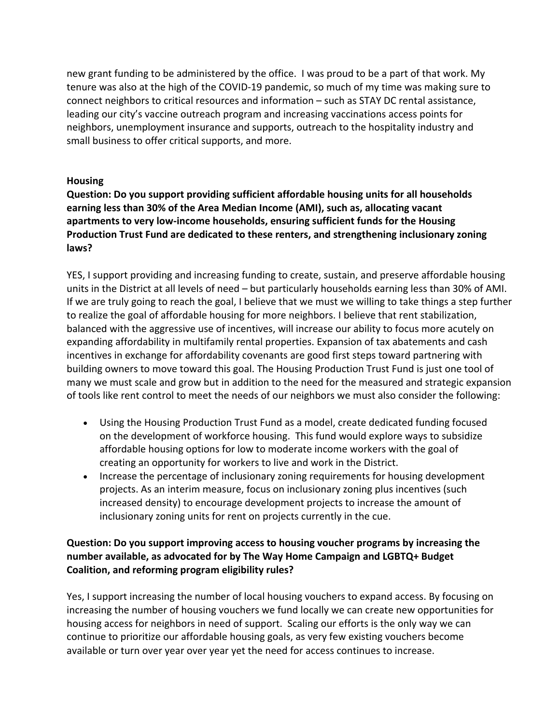new grant funding to be administered by the office. I was proud to be a part of that work. My tenure was also at the high of the COVID-19 pandemic, so much of my time was making sure to connect neighbors to critical resources and information – such as STAY DC rental assistance, leading our city's vaccine outreach program and increasing vaccinations access points for neighbors, unemployment insurance and supports, outreach to the hospitality industry and small business to offer critical supports, and more.

### **Housing**

**Question: Do you support providing sufficient affordable housing units for all households earning less than 30% of the Area Median Income (AMI), such as, allocating vacant apartments to very low-income households, ensuring sufficient funds for the Housing Production Trust Fund are dedicated to these renters, and strengthening inclusionary zoning laws?**

YES, I support providing and increasing funding to create, sustain, and preserve affordable housing units in the District at all levels of need – but particularly households earning less than 30% of AMI. If we are truly going to reach the goal, I believe that we must we willing to take things a step further to realize the goal of affordable housing for more neighbors. I believe that rent stabilization, balanced with the aggressive use of incentives, will increase our ability to focus more acutely on expanding affordability in multifamily rental properties. Expansion of tax abatements and cash incentives in exchange for affordability covenants are good first steps toward partnering with building owners to move toward this goal. The Housing Production Trust Fund is just one tool of many we must scale and grow but in addition to the need for the measured and strategic expansion of tools like rent control to meet the needs of our neighbors we must also consider the following:

- Using the Housing Production Trust Fund as a model, create dedicated funding focused on the development of workforce housing. This fund would explore ways to subsidize affordable housing options for low to moderate income workers with the goal of creating an opportunity for workers to live and work in the District.
- Increase the percentage of inclusionary zoning requirements for housing development projects. As an interim measure, focus on inclusionary zoning plus incentives (such increased density) to encourage development projects to increase the amount of inclusionary zoning units for rent on projects currently in the cue.

## **Question: Do you support improving access to housing voucher programs by increasing the number available, as advocated for by The Way Home Campaign and LGBTQ+ Budget Coalition, and reforming program eligibility rules?**

Yes, I support increasing the number of local housing vouchers to expand access. By focusing on increasing the number of housing vouchers we fund locally we can create new opportunities for housing access for neighbors in need of support. Scaling our efforts is the only way we can continue to prioritize our affordable housing goals, as very few existing vouchers become available or turn over year over year yet the need for access continues to increase.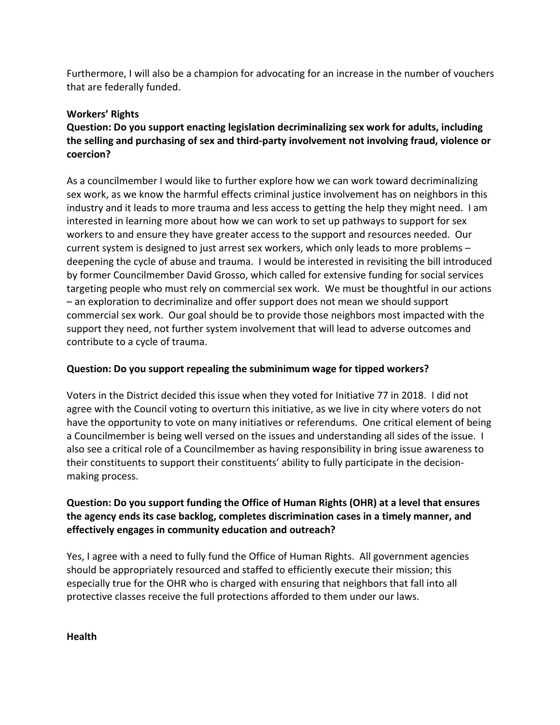Furthermore, I will also be a champion for advocating for an increase in the number of vouchers that are federally funded.

#### **Workers' Rights**

# **Question: Do you support enacting legislation decriminalizing sex work for adults, including the selling and purchasing of sex and third-party involvement not involving fraud, violence or coercion?**

As a councilmember I would like to further explore how we can work toward decriminalizing sex work, as we know the harmful effects criminal justice involvement has on neighbors in this industry and it leads to more trauma and less access to getting the help they might need. I am interested in learning more about how we can work to set up pathways to support for sex workers to and ensure they have greater access to the support and resources needed. Our current system is designed to just arrest sex workers, which only leads to more problems – deepening the cycle of abuse and trauma. I would be interested in revisiting the bill introduced by former Councilmember David Grosso, which called for extensive funding for social services targeting people who must rely on commercial sex work. We must be thoughtful in our actions – an exploration to decriminalize and offer support does not mean we should support commercial sex work. Our goal should be to provide those neighbors most impacted with the support they need, not further system involvement that will lead to adverse outcomes and contribute to a cycle of trauma.

#### **Question: Do you support repealing the subminimum wage for tipped workers?**

Voters in the District decided this issue when they voted for Initiative 77 in 2018. I did not agree with the Council voting to overturn this initiative, as we live in city where voters do not have the opportunity to vote on many initiatives or referendums. One critical element of being a Councilmember is being well versed on the issues and understanding all sides of the issue. I also see a critical role of a Councilmember as having responsibility in bring issue awareness to their constituents to support their constituents' ability to fully participate in the decisionmaking process.

## **Question: Do you support funding the Office of Human Rights (OHR) at a level that ensures the agency ends its case backlog, completes discrimination cases in a timely manner, and effectively engages in community education and outreach?**

Yes, I agree with a need to fully fund the Office of Human Rights. All government agencies should be appropriately resourced and staffed to efficiently execute their mission; this especially true for the OHR who is charged with ensuring that neighbors that fall into all protective classes receive the full protections afforded to them under our laws.

**Health**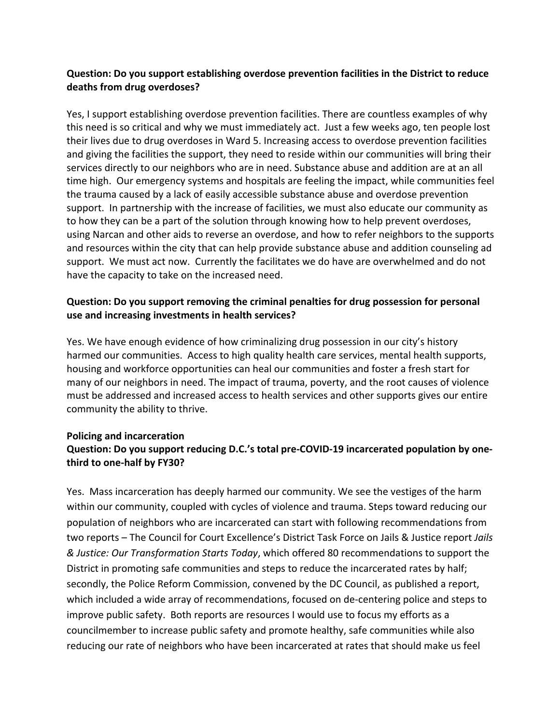### **Question: Do you support establishing overdose prevention facilities in the District to reduce deaths from drug overdoses?**

Yes, I support establishing overdose prevention facilities. There are countless examples of why this need is so critical and why we must immediately act. Just a few weeks ago, ten people lost their lives due to drug overdoses in Ward 5. Increasing access to overdose prevention facilities and giving the facilities the support, they need to reside within our communities will bring their services directly to our neighbors who are in need. Substance abuse and addition are at an all time high. Our emergency systems and hospitals are feeling the impact, while communities feel the trauma caused by a lack of easily accessible substance abuse and overdose prevention support. In partnership with the increase of facilities, we must also educate our community as to how they can be a part of the solution through knowing how to help prevent overdoses, using Narcan and other aids to reverse an overdose, and how to refer neighbors to the supports and resources within the city that can help provide substance abuse and addition counseling ad support. We must act now. Currently the facilitates we do have are overwhelmed and do not have the capacity to take on the increased need.

### **Question: Do you support removing the criminal penalties for drug possession for personal use and increasing investments in health services?**

Yes. We have enough evidence of how criminalizing drug possession in our city's history harmed our communities. Access to high quality health care services, mental health supports, housing and workforce opportunities can heal our communities and foster a fresh start for many of our neighbors in need. The impact of trauma, poverty, and the root causes of violence must be addressed and increased access to health services and other supports gives our entire community the ability to thrive.

# **Policing and incarceration Question: Do you support reducing D.C.'s total pre-COVID-19 incarcerated population by onethird to one-half by FY30?**

Yes. Mass incarceration has deeply harmed our community. We see the vestiges of the harm within our community, coupled with cycles of violence and trauma. Steps toward reducing our population of neighbors who are incarcerated can start with following recommendations from two reports – The Council for Court Excellence's District Task Force on Jails & Justice report *Jails & Justice: Our Transformation Starts Today*, which offered 80 recommendations to support the District in promoting safe communities and steps to reduce the incarcerated rates by half; secondly, the Police Reform Commission, convened by the DC Council, as published a report, which included a wide array of recommendations, focused on de-centering police and steps to improve public safety. Both reports are resources I would use to focus my efforts as a councilmember to increase public safety and promote healthy, safe communities while also reducing our rate of neighbors who have been incarcerated at rates that should make us feel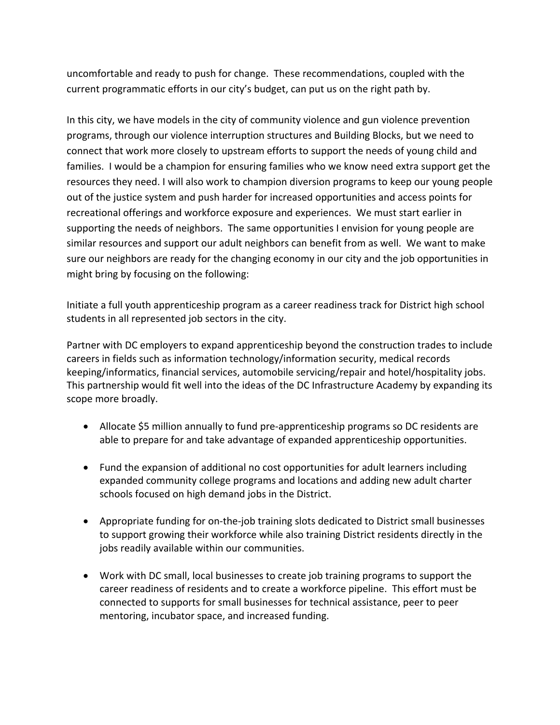uncomfortable and ready to push for change. These recommendations, coupled with the current programmatic efforts in our city's budget, can put us on the right path by.

In this city, we have models in the city of community violence and gun violence prevention programs, through our violence interruption structures and Building Blocks, but we need to connect that work more closely to upstream efforts to support the needs of young child and families. I would be a champion for ensuring families who we know need extra support get the resources they need. I will also work to champion diversion programs to keep our young people out of the justice system and push harder for increased opportunities and access points for recreational offerings and workforce exposure and experiences. We must start earlier in supporting the needs of neighbors. The same opportunities I envision for young people are similar resources and support our adult neighbors can benefit from as well. We want to make sure our neighbors are ready for the changing economy in our city and the job opportunities in might bring by focusing on the following:

Initiate a full youth apprenticeship program as a career readiness track for District high school students in all represented job sectors in the city.

Partner with DC employers to expand apprenticeship beyond the construction trades to include careers in fields such as information technology/information security, medical records keeping/informatics, financial services, automobile servicing/repair and hotel/hospitality jobs. This partnership would fit well into the ideas of the DC Infrastructure Academy by expanding its scope more broadly.

- Allocate \$5 million annually to fund pre-apprenticeship programs so DC residents are able to prepare for and take advantage of expanded apprenticeship opportunities.
- Fund the expansion of additional no cost opportunities for adult learners including expanded community college programs and locations and adding new adult charter schools focused on high demand jobs in the District.
- Appropriate funding for on-the-job training slots dedicated to District small businesses to support growing their workforce while also training District residents directly in the jobs readily available within our communities.
- Work with DC small, local businesses to create job training programs to support the career readiness of residents and to create a workforce pipeline. This effort must be connected to supports for small businesses for technical assistance, peer to peer mentoring, incubator space, and increased funding.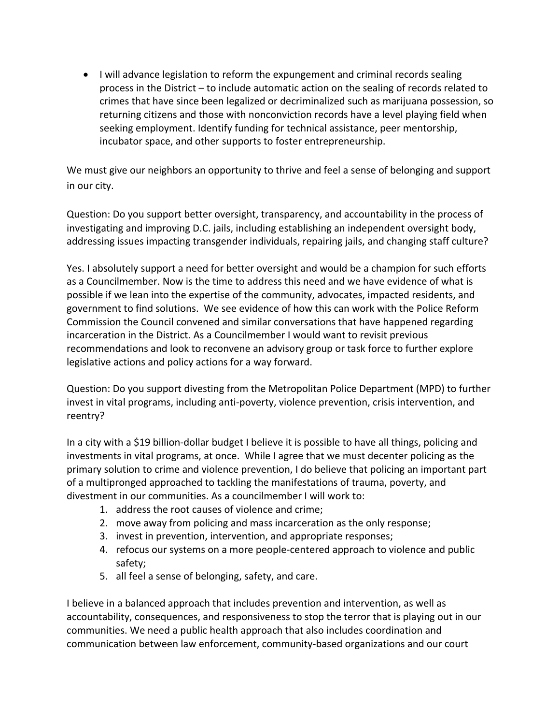• I will advance legislation to reform the expungement and criminal records sealing process in the District – to include automatic action on the sealing of records related to crimes that have since been legalized or decriminalized such as marijuana possession, so returning citizens and those with nonconviction records have a level playing field when seeking employment. Identify funding for technical assistance, peer mentorship, incubator space, and other supports to foster entrepreneurship.

We must give our neighbors an opportunity to thrive and feel a sense of belonging and support in our city.

Question: Do you support better oversight, transparency, and accountability in the process of investigating and improving D.C. jails, including establishing an independent oversight body, addressing issues impacting transgender individuals, repairing jails, and changing staff culture?

Yes. I absolutely support a need for better oversight and would be a champion for such efforts as a Councilmember. Now is the time to address this need and we have evidence of what is possible if we lean into the expertise of the community, advocates, impacted residents, and government to find solutions. We see evidence of how this can work with the Police Reform Commission the Council convened and similar conversations that have happened regarding incarceration in the District. As a Councilmember I would want to revisit previous recommendations and look to reconvene an advisory group or task force to further explore legislative actions and policy actions for a way forward.

Question: Do you support divesting from the Metropolitan Police Department (MPD) to further invest in vital programs, including anti-poverty, violence prevention, crisis intervention, and reentry?

In a city with a \$19 billion-dollar budget I believe it is possible to have all things, policing and investments in vital programs, at once. While I agree that we must decenter policing as the primary solution to crime and violence prevention, I do believe that policing an important part of a multipronged approached to tackling the manifestations of trauma, poverty, and divestment in our communities. As a councilmember I will work to:

- 1. address the root causes of violence and crime;
- 2. move away from policing and mass incarceration as the only response;
- 3. invest in prevention, intervention, and appropriate responses;
- 4. refocus our systems on a more people-centered approach to violence and public safety;
- 5. all feel a sense of belonging, safety, and care.

I believe in a balanced approach that includes prevention and intervention, as well as accountability, consequences, and responsiveness to stop the terror that is playing out in our communities. We need a public health approach that also includes coordination and communication between law enforcement, community-based organizations and our court